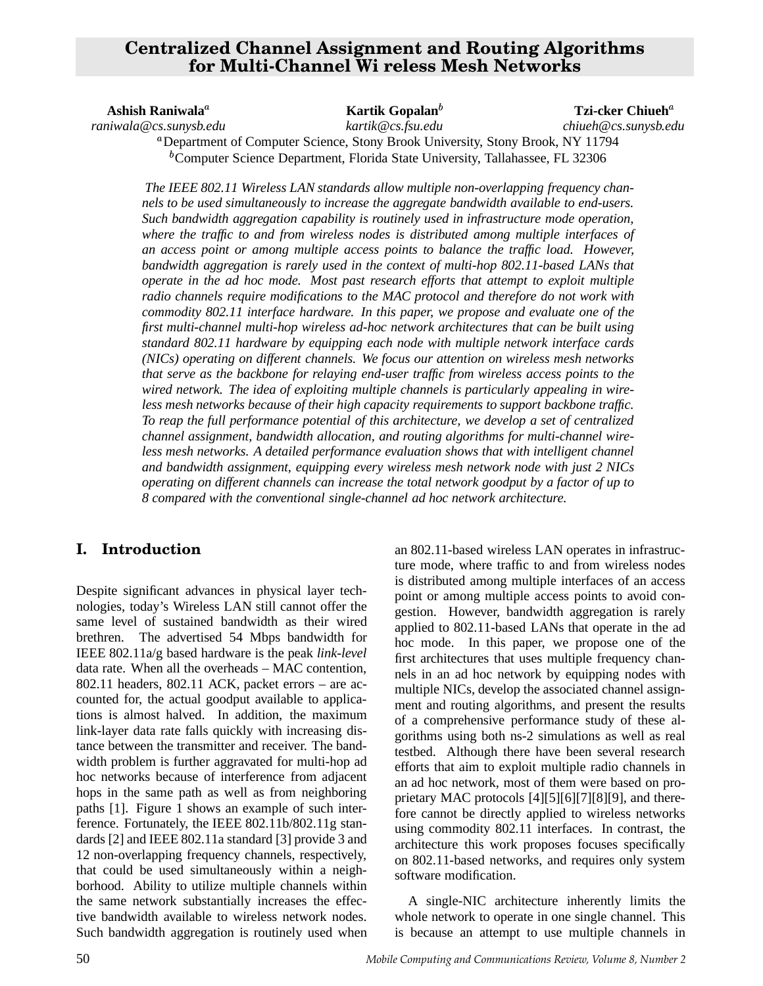# **Centralized Channel Assignment and Routing Algorithms for Multi-Channel Wi reless Mesh Networks**

| Ashish Raniwala <sup><i>a</i></sup>                                                        | Kartik Gopalan <sup>b</sup>                                                               | Tzi-cker Chiueh <sup><i>a</i></sup> |  |
|--------------------------------------------------------------------------------------------|-------------------------------------------------------------------------------------------|-------------------------------------|--|
| raniwala@cs.sunysb.edu                                                                     | kartik@cs.fsu.edu                                                                         | chiueh@cs.sunysb.edu                |  |
| <sup>a</sup> Department of Computer Science, Stony Brook University, Stony Brook, NY 11794 |                                                                                           |                                     |  |
|                                                                                            | <sup>6</sup> Computer Science Department, Florida State University, Tallahassee, FL 32306 |                                     |  |

*The IEEE 802.11 Wireless LAN standards allow multiple non-overlapping frequency channels to be used simultaneously to increase the aggregate bandwidth available to end-users. Such bandwidth aggregation capability is routinely used in infrastructure mode operation, where the traffic to and from wireless nodes is distributed among multiple interfaces of an access point or among multiple access points to balance the traffic load. However, bandwidth aggregation is rarely used in the context of multi-hop 802.11-based LANs that operate in the ad hoc mode. Most past research efforts that attempt to exploit multiple radio channels require modifications to the MAC protocol and therefore do not work with commodity 802.11 interface hardware. In this paper, we propose and evaluate one of the first multi-channel multi-hop wireless ad-hoc network architectures that can be built using standard 802.11 hardware by equipping each node with multiple network interface cards (NICs) operating on different channels. We focus our attention on wireless mesh networks that serve as the backbone for relaying end-user traffic from wireless access points to the wired network. The idea of exploiting multiple channels is particularly appealing in wireless mesh networks because of their high capacity requirements to support backbone traffic. To reap the full performance potential of this architecture, we develop a set of centralized channel assignment, bandwidth allocation, and routing algorithms for multi-channel wireless mesh networks. A detailed performance evaluation shows that with intelligent channel and bandwidth assignment, equipping every wireless mesh network node with just 2 NICs operating on different channels can increase the total network goodput by a factor of up to 8 compared with the conventional single-channel ad hoc network architecture.*

# **I. Introduction**

Despite significant advances in physical layer technologies, today's Wireless LAN still cannot offer the same level of sustained bandwidth as their wired brethren. The advertised 54 Mbps bandwidth for IEEE 802.11a/g based hardware is the peak *link-level* data rate. When all the overheads – MAC contention, 802.11 headers, 802.11 ACK, packet errors – are accounted for, the actual goodput available to applications is almost halved. In addition, the maximum link-layer data rate falls quickly with increasing distance between the transmitter and receiver. The bandwidth problem is further aggravated for multi-hop ad hoc networks because of interference from adjacent hops in the same path as well as from neighboring paths [1]. Figure 1 shows an example of such interference. Fortunately, the IEEE 802.11b/802.11g standards [2] and IEEE 802.11a standard [3] provide 3 and 12 non-overlapping frequency channels, respectively, that could be used simultaneously within a neighborhood. Ability to utilize multiple channels within the same network substantially increases the effective bandwidth available to wireless network nodes. Such bandwidth aggregation is routinely used when an 802.11-based wireless LAN operates in infrastructure mode, where traffic to and from wireless nodes is distributed among multiple interfaces of an access point or among multiple access points to avoid congestion. However, bandwidth aggregation is rarely applied to 802.11-based LANs that operate in the ad hoc mode. In this paper, we propose one of the first architectures that uses multiple frequency channels in an ad hoc network by equipping nodes with multiple NICs, develop the associated channel assignment and routing algorithms, and present the results of a comprehensive performance study of these algorithms using both ns-2 simulations as well as real testbed. Although there have been several research efforts that aim to exploit multiple radio channels in an ad hoc network, most of them were based on proprietary MAC protocols [4][5][6][7][8][9], and therefore cannot be directly applied to wireless networks using commodity 802.11 interfaces. In contrast, the architecture this work proposes focuses specifically on 802.11-based networks, and requires only system software modification.

A single-NIC architecture inherently limits the whole network to operate in one single channel. This is because an attempt to use multiple channels in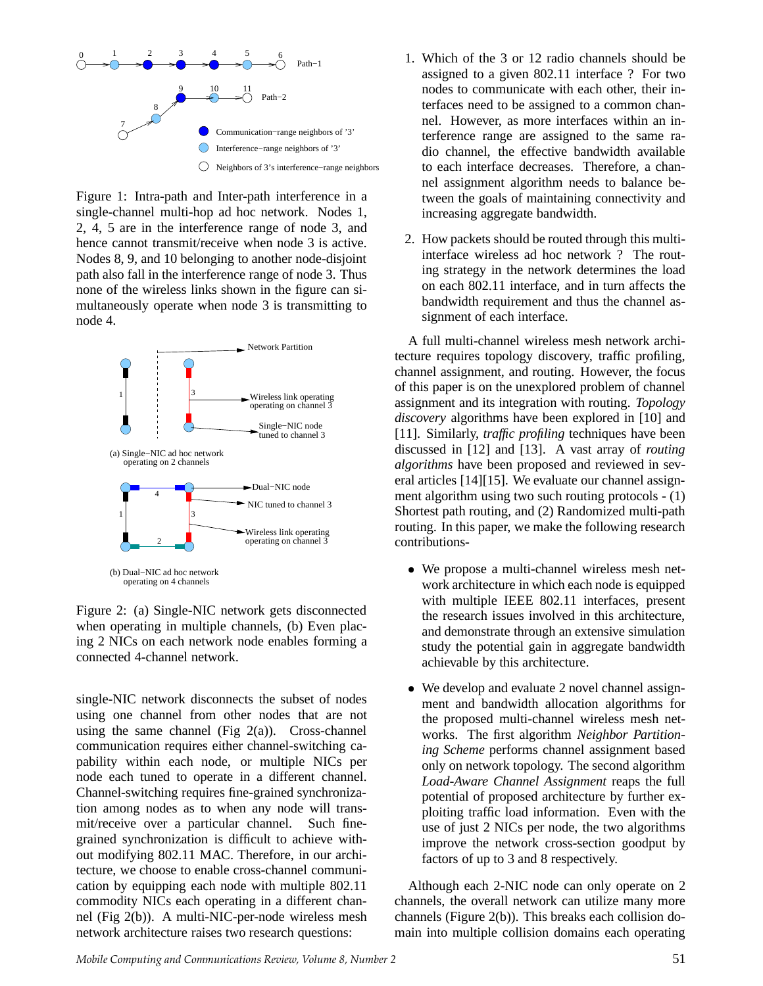

Figure 1: Intra-path and Inter-path interference in a single-channel multi-hop ad hoc network. Nodes 1, 2, 4, 5 are in the interference range of node 3, and hence cannot transmit/receive when node 3 is active. Nodes 8, 9, and 10 belonging to another node-disjoint path also fall in the interference range of node 3. Thus none of the wireless links shown in the figure can simultaneously operate when node 3 is transmitting to node 4.



Figure 2: (a) Single-NIC network gets disconnected when operating in multiple channels, (b) Even placing 2 NICs on each network node enables forming a connected 4-channel network.

single-NIC network disconnects the subset of nodes using one channel from other nodes that are not using the same channel (Fig  $2(a)$ ). Cross-channel communication requires either channel-switching capability within each node, or multiple NICs per node each tuned to operate in a different channel. Channel-switching requires fine-grained synchronization among nodes as to when any node will transmit/receive over a particular channel. Such finegrained synchronization is difficult to achieve without modifying 802.11 MAC. Therefore, in our architecture, we choose to enable cross-channel communication by equipping each node with multiple 802.11 commodity NICs each operating in a different channel (Fig 2(b)). A multi-NIC-per-node wireless mesh network architecture raises two research questions:

- 1. Which of the 3 or 12 radio channels should be assigned to a given 802.11 interface ? For two nodes to communicate with each other, their interfaces need to be assigned to a common channel. However, as more interfaces within an interference range are assigned to the same radio channel, the effective bandwidth available to each interface decreases. Therefore, a channel assignment algorithm needs to balance between the goals of maintaining connectivity and increasing aggregate bandwidth.
- 2. How packets should be routed through this multiinterface wireless ad hoc network ? The routing strategy in the network determines the load on each 802.11 interface, and in turn affects the bandwidth requirement and thus the channel assignment of each interface.

A full multi-channel wireless mesh network architecture requires topology discovery, traffic profiling, channel assignment, and routing. However, the focus of this paper is on the unexplored problem of channel assignment and its integration with routing. *Topology discovery* algorithms have been explored in [10] and [11]. Similarly, *traffic profiling* techniques have been discussed in [12] and [13]. A vast array of *routing algorithms* have been proposed and reviewed in several articles [14][15]. We evaluate our channel assignment algorithm using two such routing protocols - (1) Shortest path routing, and (2) Randomized multi-path routing. In this paper, we make the following research contributions-

- We propose a multi-channel wireless mesh network architecture in which each node is equipped with multiple IEEE 802.11 interfaces, present the research issues involved in this architecture, and demonstrate through an extensive simulation study the potential gain in aggregate bandwidth achievable by this architecture.
- We develop and evaluate 2 novel channel assignment and bandwidth allocation algorithms for the proposed multi-channel wireless mesh networks. The first algorithm *Neighbor Partitioning Scheme* performs channel assignment based only on network topology. The second algorithm *Load-Aware Channel Assignment* reaps the full potential of proposed architecture by further exploiting traffic load information. Even with the use of just 2 NICs per node, the two algorithms improve the network cross-section goodput by factors of up to 3 and 8 respectively.

Although each 2-NIC node can only operate on 2 channels, the overall network can utilize many more channels (Figure 2(b)). This breaks each collision domain into multiple collision domains each operating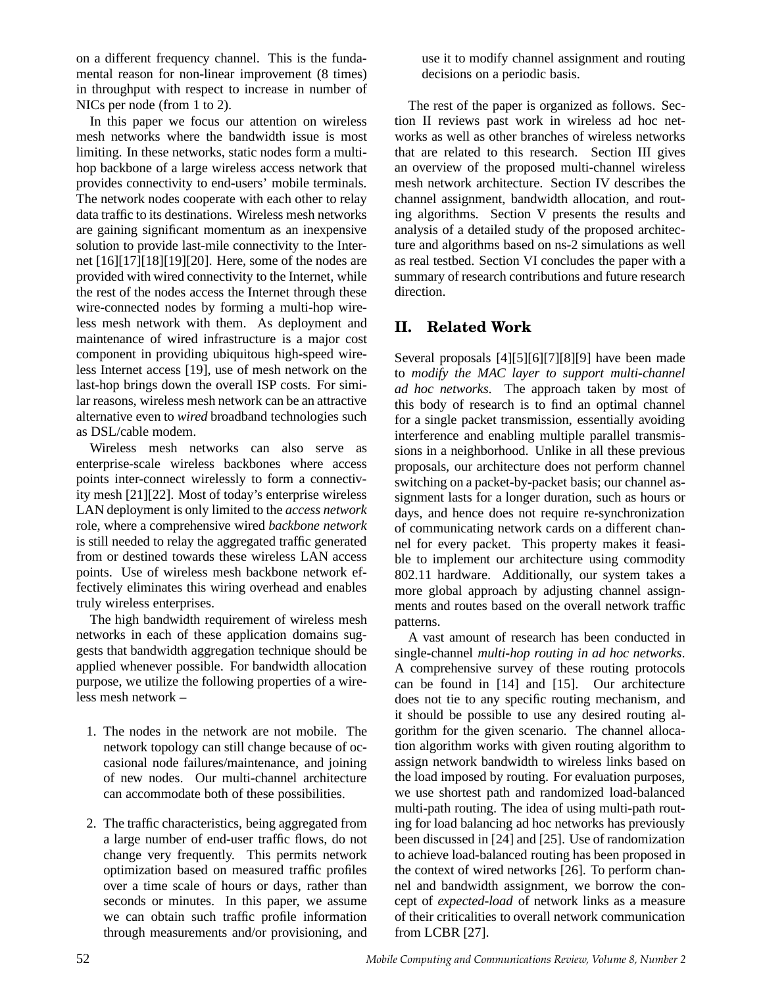on a different frequency channel. This is the fundamental reason for non-linear improvement (8 times) in throughput with respect to increase in number of NICs per node (from 1 to 2).

In this paper we focus our attention on wireless mesh networks where the bandwidth issue is most limiting. In these networks, static nodes form a multihop backbone of a large wireless access network that provides connectivity to end-users' mobile terminals. The network nodes cooperate with each other to relay data traffic to its destinations. Wireless mesh networks are gaining significant momentum as an inexpensive solution to provide last-mile connectivity to the Internet [16][17][18][19][20]. Here, some of the nodes are provided with wired connectivity to the Internet, while the rest of the nodes access the Internet through these wire-connected nodes by forming a multi-hop wireless mesh network with them. As deployment and maintenance of wired infrastructure is a major cost component in providing ubiquitous high-speed wireless Internet access [19], use of mesh network on the last-hop brings down the overall ISP costs. For similar reasons, wireless mesh network can be an attractive alternative even to *wired* broadband technologies such as DSL/cable modem.

Wireless mesh networks can also serve as enterprise-scale wireless backbones where access points inter-connect wirelessly to form a connectivity mesh [21][22]. Most of today's enterprise wireless LAN deployment is only limited to the *access network* role, where a comprehensive wired *backbone network* is still needed to relay the aggregated traffic generated from or destined towards these wireless LAN access points. Use of wireless mesh backbone network effectively eliminates this wiring overhead and enables truly wireless enterprises.

The high bandwidth requirement of wireless mesh networks in each of these application domains suggests that bandwidth aggregation technique should be applied whenever possible. For bandwidth allocation purpose, we utilize the following properties of a wireless mesh network –

- 1. The nodes in the network are not mobile. The network topology can still change because of occasional node failures/maintenance, and joining of new nodes. Our multi-channel architecture can accommodate both of these possibilities.
- 2. The traffic characteristics, being aggregated from a large number of end-user traffic flows, do not change very frequently. This permits network optimization based on measured traffic profiles over a time scale of hours or days, rather than seconds or minutes. In this paper, we assume we can obtain such traffic profile information through measurements and/or provisioning, and

use it to modify channel assignment and routing decisions on a periodic basis.

The rest of the paper is organized as follows. Section II reviews past work in wireless ad hoc networks as well as other branches of wireless networks that are related to this research. Section III gives an overview of the proposed multi-channel wireless mesh network architecture. Section IV describes the channel assignment, bandwidth allocation, and routing algorithms. Section V presents the results and analysis of a detailed study of the proposed architecture and algorithms based on ns-2 simulations as well as real testbed. Section VI concludes the paper with a summary of research contributions and future research direction.

# **II. Related Work**

Several proposals [4][5][6][7][8][9] have been made to *modify the MAC layer to support multi-channel ad hoc networks*. The approach taken by most of this body of research is to find an optimal channel for a single packet transmission, essentially avoiding interference and enabling multiple parallel transmissions in a neighborhood. Unlike in all these previous proposals, our architecture does not perform channel switching on a packet-by-packet basis; our channel assignment lasts for a longer duration, such as hours or days, and hence does not require re-synchronization of communicating network cards on a different channel for every packet. This property makes it feasible to implement our architecture using commodity 802.11 hardware. Additionally, our system takes a more global approach by adjusting channel assignments and routes based on the overall network traffic patterns.

A vast amount of research has been conducted in single-channel *multi-hop routing in ad hoc networks*. A comprehensive survey of these routing protocols can be found in [14] and [15]. Our architecture does not tie to any specific routing mechanism, and it should be possible to use any desired routing algorithm for the given scenario. The channel allocation algorithm works with given routing algorithm to assign network bandwidth to wireless links based on the load imposed by routing. For evaluation purposes, we use shortest path and randomized load-balanced multi-path routing. The idea of using multi-path routing for load balancing ad hoc networks has previously been discussed in [24] and [25]. Use of randomization to achieve load-balanced routing has been proposed in the context of wired networks [26]. To perform channel and bandwidth assignment, we borrow the concept of *expected-load* of network links as a measure of their criticalities to overall network communication from LCBR [27].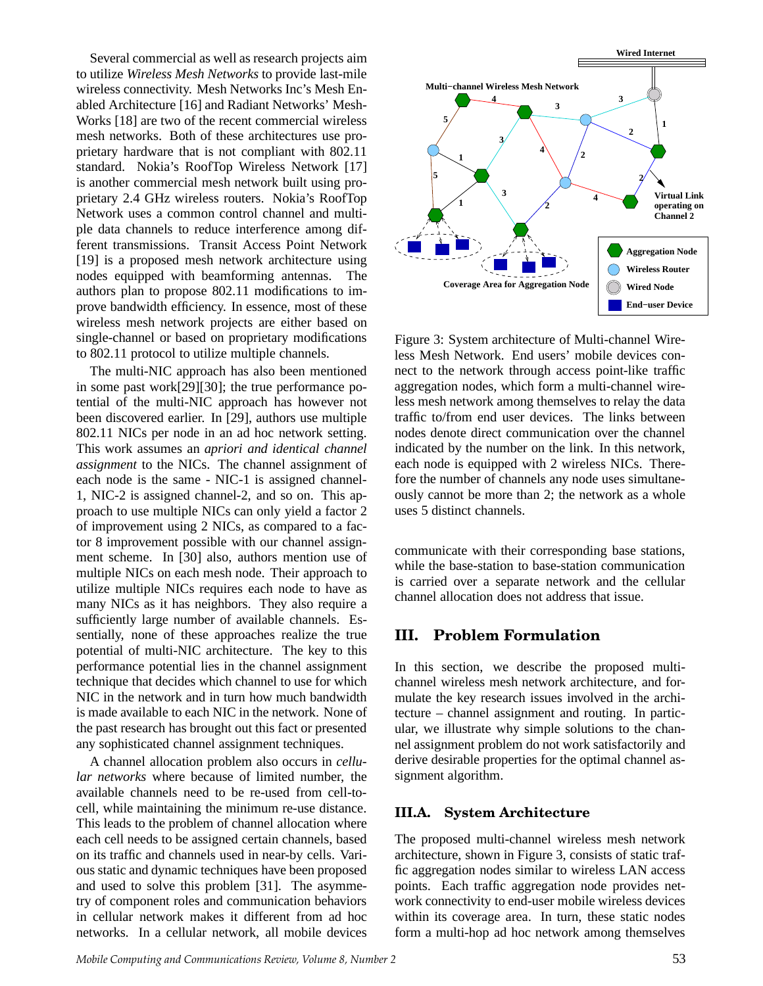Several commercial as well as research projects aim to utilize *Wireless Mesh Networks* to provide last-mile wireless connectivity. Mesh Networks Inc's Mesh Enabled Architecture [16] and Radiant Networks' Mesh-Works [18] are two of the recent commercial wireless mesh networks. Both of these architectures use proprietary hardware that is not compliant with 802.11 standard. Nokia's RoofTop Wireless Network [17] is another commercial mesh network built using proprietary 2.4 GHz wireless routers. Nokia's RoofTop Network uses a common control channel and multiple data channels to reduce interference among different transmissions. Transit Access Point Network [19] is a proposed mesh network architecture using nodes equipped with beamforming antennas. The authors plan to propose 802.11 modifications to improve bandwidth efficiency. In essence, most of these wireless mesh network projects are either based on single-channel or based on proprietary modifications to 802.11 protocol to utilize multiple channels.

The multi-NIC approach has also been mentioned in some past work[29][30]; the true performance potential of the multi-NIC approach has however not been discovered earlier. In [29], authors use multiple 802.11 NICs per node in an ad hoc network setting. This work assumes an *apriori and identical channel assignment* to the NICs. The channel assignment of each node is the same - NIC-1 is assigned channel-1, NIC-2 is assigned channel-2, and so on. This approach to use multiple NICs can only yield a factor 2 of improvement using 2 NICs, as compared to a factor 8 improvement possible with our channel assignment scheme. In [30] also, authors mention use of multiple NICs on each mesh node. Their approach to utilize multiple NICs requires each node to have as many NICs as it has neighbors. They also require a sufficiently large number of available channels. Essentially, none of these approaches realize the true potential of multi-NIC architecture. The key to this performance potential lies in the channel assignment technique that decides which channel to use for which NIC in the network and in turn how much bandwidth is made available to each NIC in the network. None of the past research has brought out this fact or presented any sophisticated channel assignment techniques.

A channel allocation problem also occurs in *cellular networks* where because of limited number, the available channels need to be re-used from cell-tocell, while maintaining the minimum re-use distance. This leads to the problem of channel allocation where each cell needs to be assigned certain channels, based on its traffic and channels used in near-by cells. Various static and dynamic techniques have been proposed and used to solve this problem [31]. The asymmetry of component roles and communication behaviors in cellular network makes it different from ad hoc networks. In a cellular network, all mobile devices



Figure 3: System architecture of Multi-channel Wireless Mesh Network. End users' mobile devices connect to the network through access point-like traffic aggregation nodes, which form a multi-channel wireless mesh network among themselves to relay the data traffic to/from end user devices. The links between nodes denote direct communication over the channel indicated by the number on the link. In this network, each node is equipped with 2 wireless NICs. Therefore the number of channels any node uses simultaneously cannot be more than 2; the network as a whole uses 5 distinct channels.

communicate with their corresponding base stations, while the base-station to base-station communication is carried over a separate network and the cellular channel allocation does not address that issue.

## **III. Problem Formulation**

In this section, we describe the proposed multichannel wireless mesh network architecture, and formulate the key research issues involved in the architecture – channel assignment and routing. In particular, we illustrate why simple solutions to the channel assignment problem do not work satisfactorily and derive desirable properties for the optimal channel assignment algorithm.

### **III.A. System Architecture**

The proposed multi-channel wireless mesh network architecture, shown in Figure 3, consists of static traffic aggregation nodes similar to wireless LAN access points. Each traffic aggregation node provides network connectivity to end-user mobile wireless devices within its coverage area. In turn, these static nodes form a multi-hop ad hoc network among themselves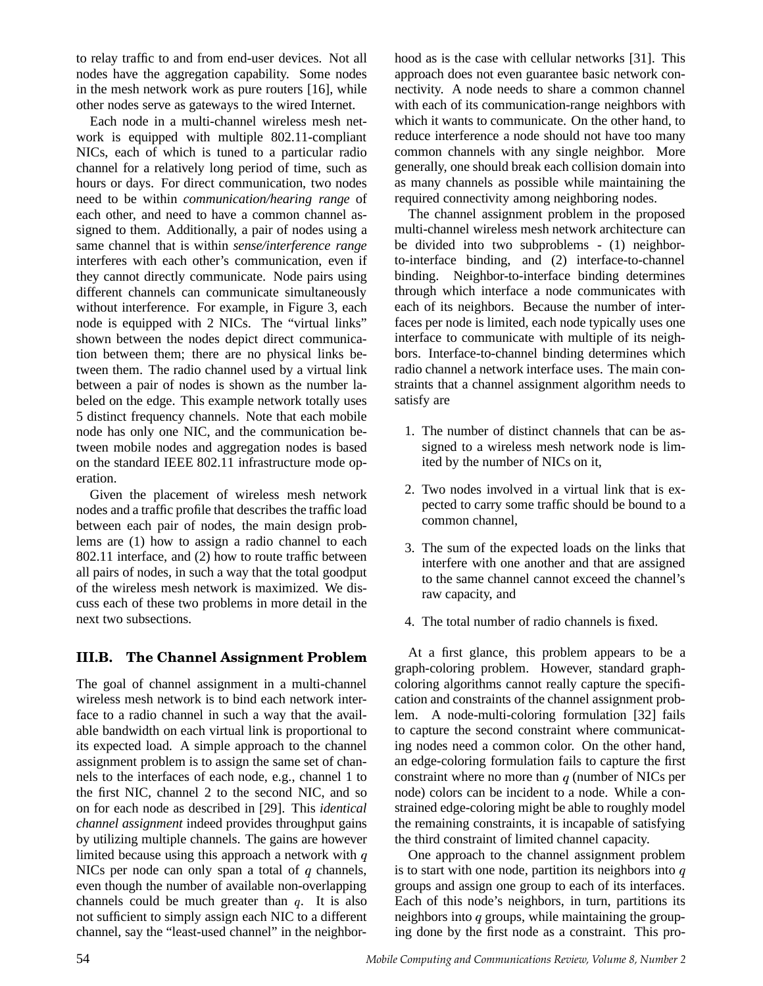to relay traffic to and from end-user devices. Not all nodes have the aggregation capability. Some nodes in the mesh network work as pure routers [16], while other nodes serve as gateways to the wired Internet.

Each node in a multi-channel wireless mesh network is equipped with multiple 802.11-compliant NICs, each of which is tuned to a particular radio channel for a relatively long period of time, such as hours or days. For direct communication, two nodes need to be within *communication/hearing range* of each other, and need to have a common channel assigned to them. Additionally, a pair of nodes using a same channel that is within *sense/interference range* interferes with each other's communication, even if they cannot directly communicate. Node pairs using different channels can communicate simultaneously without interference. For example, in Figure 3, each node is equipped with 2 NICs. The "virtual links" shown between the nodes depict direct communication between them; there are no physical links between them. The radio channel used by a virtual link between a pair of nodes is shown as the number labeled on the edge. This example network totally uses 5 distinct frequency channels. Note that each mobile node has only one NIC, and the communication between mobile nodes and aggregation nodes is based on the standard IEEE 802.11 infrastructure mode operation.

Given the placement of wireless mesh network nodes and a traffic profile that describes the traffic load between each pair of nodes, the main design problems are (1) how to assign a radio channel to each 802.11 interface, and (2) how to route traffic between all pairs of nodes, in such a way that the total goodput of the wireless mesh network is maximized. We discuss each of these two problems in more detail in the next two subsections.

## **III.B. The Channel Assignment Problem**

The goal of channel assignment in a multi-channel wireless mesh network is to bind each network interface to a radio channel in such a way that the available bandwidth on each virtual link is proportional to its expected load. A simple approach to the channel assignment problem is to assign the same set of channels to the interfaces of each node, e.g., channel 1 to the first NIC, channel 2 to the second NIC, and so on for each node as described in [29]. This *identical channel assignment* indeed provides throughput gains by utilizing multiple channels. The gains are however limited because using this approach a network with  $q$ NICs per node can only span a total of  $q$  channels, even though the number of available non-overlapping channels could be much greater than  $q$ . It is also not sufficient to simply assign each NIC to a different channel, say the "least-used channel" in the neighborhood as is the case with cellular networks [31]. This approach does not even guarantee basic network connectivity. A node needs to share a common channel with each of its communication-range neighbors with which it wants to communicate. On the other hand, to reduce interference a node should not have too many common channels with any single neighbor. More generally, one should break each collision domain into as many channels as possible while maintaining the required connectivity among neighboring nodes.

The channel assignment problem in the proposed multi-channel wireless mesh network architecture can be divided into two subproblems - (1) neighborto-interface binding, and (2) interface-to-channel binding. Neighbor-to-interface binding determines through which interface a node communicates with each of its neighbors. Because the number of interfaces per node is limited, each node typically uses one interface to communicate with multiple of its neighbors. Interface-to-channel binding determines which radio channel a network interface uses. The main constraints that a channel assignment algorithm needs to satisfy are

- 1. The number of distinct channels that can be assigned to a wireless mesh network node is limited by the number of NICs on it,
- 2. Two nodes involved in a virtual link that is expected to carry some traffic should be bound to a common channel,
- 3. The sum of the expected loads on the links that interfere with one another and that are assigned to the same channel cannot exceed the channel's raw capacity, and
- 4. The total number of radio channels is fixed.

At a first glance, this problem appears to be a graph-coloring problem. However, standard graphcoloring algorithms cannot really capture the specification and constraints of the channel assignment problem. A node-multi-coloring formulation [32] fails to capture the second constraint where communicating nodes need a common color. On the other hand, an edge-coloring formulation fails to capture the first constraint where no more than  $q$  (number of NICs per node) colors can be incident to a node. While a constrained edge-coloring might be able to roughly model the remaining constraints, it is incapable of satisfying the third constraint of limited channel capacity.

One approach to the channel assignment problem is to start with one node, partition its neighbors into  $q$ groups and assign one group to each of its interfaces. Each of this node's neighbors, in turn, partitions its neighbors into  $q$  groups, while maintaining the grouping done by the first node as a constraint. This pro-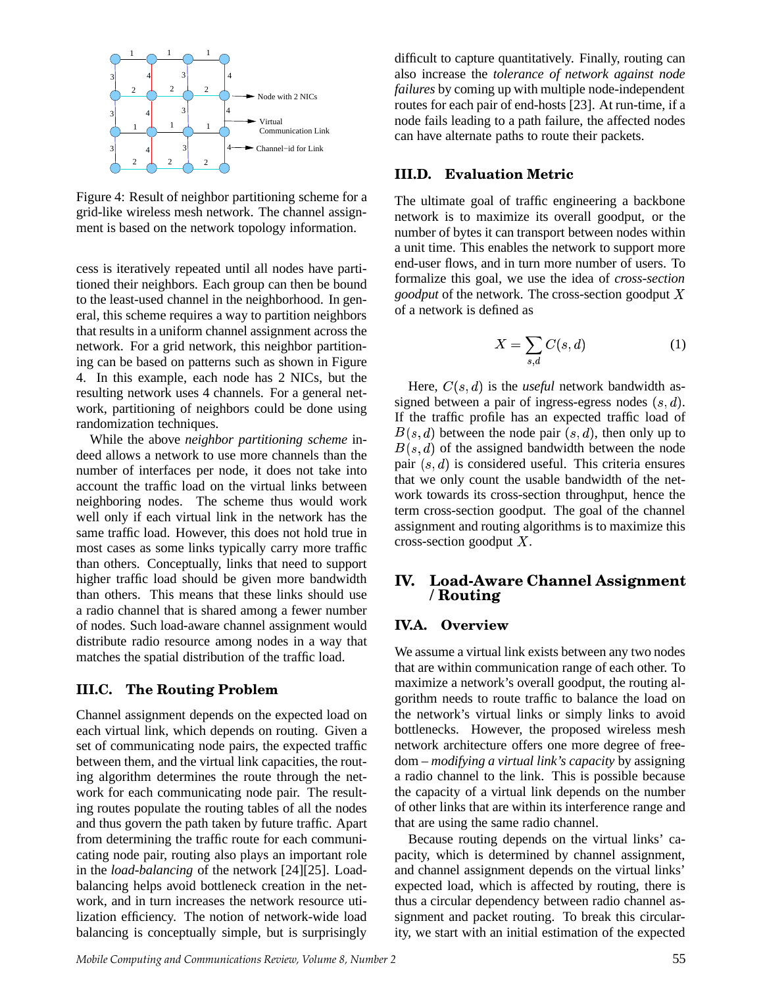

Figure 4: Result of neighbor partitioning scheme for a grid-like wireless mesh network. The channel assignment is based on the network topology information.

cess is iteratively repeated until all nodes have partitioned their neighbors. Each group can then be bound to the least-used channel in the neighborhood. In general, this scheme requires a way to partition neighbors that results in a uniform channel assignment across the network. For a grid network, this neighbor partitioning can be based on patterns such as shown in Figure 4. In this example, each node has 2 NICs, but the resulting network uses 4 channels. For a general network, partitioning of neighbors could be done using randomization techniques.

While the above *neighbor partitioning scheme* indeed allows a network to use more channels than the number of interfaces per node, it does not take into account the traffic load on the virtual links between neighboring nodes. The scheme thus would work well only if each virtual link in the network has the same traffic load. However, this does not hold true in most cases as some links typically carry more traffic than others. Conceptually, links that need to support higher traffic load should be given more bandwidth than others. This means that these links should use a radio channel that is shared among a fewer number of nodes. Such load-aware channel assignment would distribute radio resource among nodes in a way that matches the spatial distribution of the traffic load.

### **III.C. The Routing Problem**

Channel assignment depends on the expected load on each virtual link, which depends on routing. Given a set of communicating node pairs, the expected traffic between them, and the virtual link capacities, the routing algorithm determines the route through the network for each communicating node pair. The resulting routes populate the routing tables of all the nodes and thus govern the path taken by future traffic. Apart from determining the traffic route for each communicating node pair, routing also plays an important role in the *load-balancing* of the network [24][25]. Loadbalancing helps avoid bottleneck creation in the network, and in turn increases the network resource utilization efficiency. The notion of network-wide load balancing is conceptually simple, but is surprisingly

difficult to capture quantitatively. Finally, routing can also increase the *tolerance of network against node failures* by coming up with multiple node-independent routes for each pair of end-hosts [23]. At run-time, if a node fails leading to a path failure, the affected nodes can have alternate paths to route their packets.

### **III.D. Evaluation Metric**

The ultimate goal of traffic engineering a backbone network is to maximize its overall goodput, or the number of bytes it can transport between nodes within a unit time. This enables the network to support more end-user flows, and in turn more number of users. To formalize this goal, we use the idea of *cross-section goodput* of the network. The cross-section goodput of a network is defined as

$$
X = \sum_{s,d} C(s,d) \tag{1}
$$

Here,  $C(s, d)$  is the *useful* network bandwidth as-<br>and between a pair of increase agrees nodes  $(s, d)$ signed between a pair of ingress-egress nodes  $(s, d)$ .<br>If the traffic profile has an expected traffic load of If the traffic profile has an expected traffic load of  $B(s, d)$  between the node pair  $(s, d)$ , then only up to  $B(s, d)$  of the assigned bandwidth between the node  $B(s, d)$  of the assigned bandwidth between the node<br>pair  $(s, d)$  is considered useful. This criteria approach pair  $(s, d)$  is considered useful. This criteria ensures<br>that we only count the useful bondwidth of the net that we only count the usable bandwidth of the network towards its cross-section throughput, hence the term cross-section goodput. The goal of the channel assignment and routing algorithms is to maximize this cross-section goodput  $X$ .

### **IV. Load-Aware Channel Assignment / Routing**

### **IV.A. Overview**

We assume a virtual link exists between any two nodes that are within communication range of each other. To maximize a network's overall goodput, the routing algorithm needs to route traffic to balance the load on the network's virtual links or simply links to avoid bottlenecks. However, the proposed wireless mesh network architecture offers one more degree of freedom – *modifying a virtual link's capacity* by assigning a radio channel to the link. This is possible because the capacity of a virtual link depends on the number of other links that are within its interference range and that are using the same radio channel.

Because routing depends on the virtual links' capacity, which is determined by channel assignment, and channel assignment depends on the virtual links' expected load, which is affected by routing, there is thus a circular dependency between radio channel assignment and packet routing. To break this circularity, we start with an initial estimation of the expected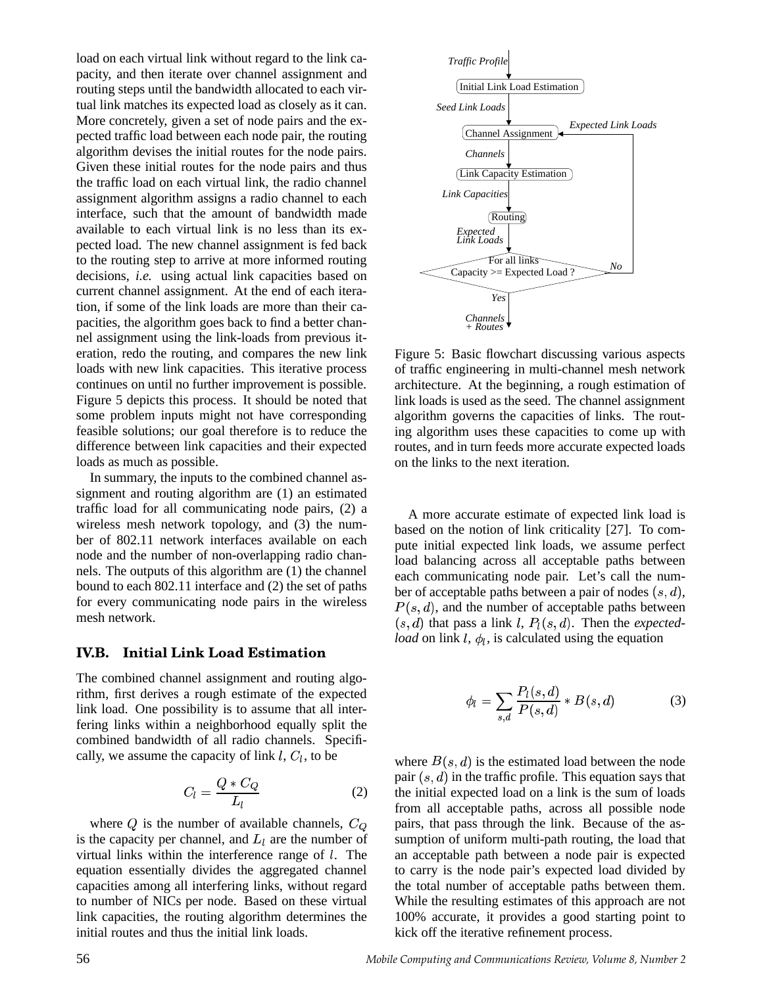load on each virtual link without regard to the link capacity, and then iterate over channel assignment and routing steps until the bandwidth allocated to each virtual link matches its expected load as closely as it can. More concretely, given a set of node pairs and the expected traffic load between each node pair, the routing algorithm devises the initial routes for the node pairs. Given these initial routes for the node pairs and thus the traffic load on each virtual link, the radio channel assignment algorithm assigns a radio channel to each interface, such that the amount of bandwidth made available to each virtual link is no less than its expected load. The new channel assignment is fed back to the routing step to arrive at more informed routing decisions, *i.e.* using actual link capacities based on current channel assignment. At the end of each iteration, if some of the link loads are more than their capacities, the algorithm goes back to find a better channel assignment using the link-loads from previous iteration, redo the routing, and compares the new link loads with new link capacities. This iterative process continues on until no further improvement is possible. Figure 5 depicts this process. It should be noted that some problem inputs might not have corresponding feasible solutions; our goal therefore is to reduce the difference between link capacities and their expected loads as much as possible.

In summary, the inputs to the combined channel assignment and routing algorithm are (1) an estimated traffic load for all communicating node pairs, (2) a wireless mesh network topology, and (3) the number of 802.11 network interfaces available on each node and the number of non-overlapping radio channels. The outputs of this algorithm are (1) the channel bound to each 802.11 interface and (2) the set of paths for every communicating node pairs in the wireless mesh network.

### **IV.B. Initial Link Load Estimation**

The combined channel assignment and routing algorithm, first derives a rough estimate of the expected link load. One possibility is to assume that all interfering links within a neighborhood equally split the combined bandwidth of all radio channels. Specifically, we assume the capacity of link  $l, C_l$ , to be

$$
C_l = \frac{Q * C_Q}{L_l} \tag{2}
$$

where  $Q$  is the number of available channels, is the capacity per channel, and  $L_l$  are the number of virtual links within the interference range of  $l$ . The equation essentially divides the aggregated channel capacities among all interfering links, without regard to number of NICs per node. Based on these virtual link capacities, the routing algorithm determines the initial routes and thus the initial link loads.



Figure 5: Basic flowchart discussing various aspects of traffic engineering in multi-channel mesh network architecture. At the beginning, a rough estimation of link loads is used as the seed. The channel assignment algorithm governs the capacities of links. The routing algorithm uses these capacities to come up with routes, and in turn feeds more accurate expected loads on the links to the next iteration.

A more accurate estimate of expected link load is based on the notion of link criticality [27]. To compute initial expected link loads, we assume perfect load balancing across all acceptable paths between each communicating node pair. Let's call the number of acceptable paths between a pair of nodes  $(s, d)$ ,<br> $P(s, d)$  and the number of acceptable paths between  $(s, d)$ , and the number of acceptable paths between<br>d) that name a link  $l, R(s, d)$ . Then the sympated  $(s, d)$  that pass a link *l*,  $P_l(s, d)$ . Then the *expected-*<br>load on link *l*,  $\phi$  is coloulated using the equation *load* on link  $l$ ,  $\phi_l$ , is calculated using the equation

$$
\phi_l = \sum_{s,d} \frac{P_l(s,d)}{P(s,d)} * B(s,d) \tag{3}
$$

r of sumption of uniform multi-path routing, the load that  $q$  pairs, that pass through the link. Because of the aswhere  $B(s, d)$  is the estimated load between the node<br>noir  $(s, d)$  in the traffic profile. This equation says that pair  $(s, d)$  in the traffic profile. This equation says that the initial expected load on a link is the sum of loads the initial expected load on a link is the sum of loads from all acceptable paths, across all possible node an acceptable path between a node pair is expected to carry is the node pair's expected load divided by the total number of acceptable paths between them. While the resulting estimates of this approach are not 100% accurate, it provides a good starting point to kick off the iterative refinement process.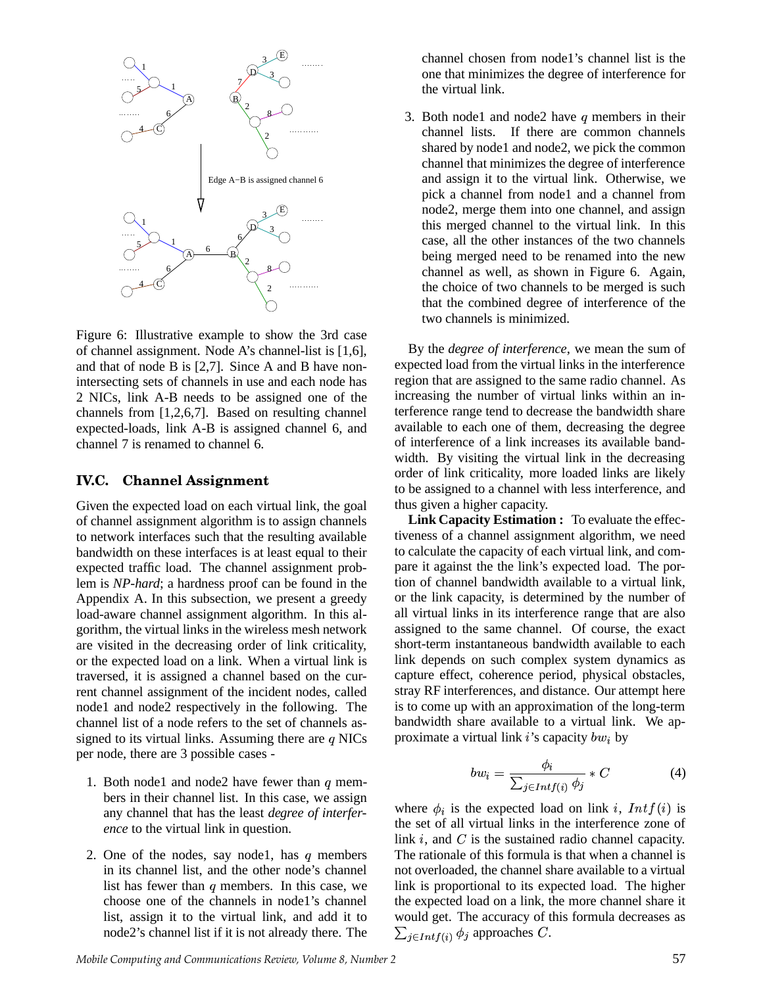

Figure 6: Illustrative example to show the 3rd case of channel assignment. Node A's channel-list is [1,6], and that of node B is [2,7]. Since A and B have nonintersecting sets of channels in use and each node has 2 NICs, link A-B needs to be assigned one of the channels from [1,2,6,7]. Based on resulting channel expected-loads, link A-B is assigned channel 6, and channel 7 is renamed to channel 6.

#### **IV.C. Channel Assignment**

Given the expected load on each virtual link, the goal of channel assignment algorithm is to assign channels to network interfaces such that the resulting available bandwidth on these interfaces is at least equal to their expected traffic load. The channel assignment problem is *NP-hard*; a hardness proof can be found in the Appendix A. In this subsection, we present a greedy load-aware channel assignment algorithm. In this algorithm, the virtual links in the wireless mesh network are visited in the decreasing order of link criticality, or the expected load on a link. When a virtual link is traversed, it is assigned a channel based on the current channel assignment of the incident nodes, called node1 and node2 respectively in the following. The channel list of a node refers to the set of channels assigned to its virtual links. Assuming there are  $q$  NICs per node, there are 3 possible cases -

- 1. Both node1 and node2 have fewer than  $q$  members in their channel list. In this case, we assign any channel that has the least *degree of interference* to the virtual link in question.
- 2. One of the nodes, say node1, has  $q$  members in its channel list, and the other node's channel list has fewer than  $q$  members. In this case, we choose one of the channels in node1's channel list, assign it to the virtual link, and add it to node2's channel list if it is not already there. The

channel chosen from node1's channel list is the one that minimizes the degree of interference for the virtual link.

3. Both node1 and node2 have  $q$  members in their channel lists. If there are common channels shared by node1 and node2, we pick the common channel that minimizes the degree of interference and assign it to the virtual link. Otherwise, we pick a channel from node1 and a channel from node2, merge them into one channel, and assign this merged channel to the virtual link. In this case, all the other instances of the two channels being merged need to be renamed into the new channel as well, as shown in Figure 6. Again, the choice of two channels to be merged is such that the combined degree of interference of the two channels is minimized.

By the *degree of interference*, we mean the sum of expected load from the virtual links in the interference region that are assigned to the same radio channel. As increasing the number of virtual links within an interference range tend to decrease the bandwidth share available to each one of them, decreasing the degree of interference of a link increases its available bandwidth. By visiting the virtual link in the decreasing order of link criticality, more loaded links are likely to be assigned to a channel with less interference, and thus given a higher capacity.

**Link Capacity Estimation :** To evaluate the effectiveness of a channel assignment algorithm, we need to calculate the capacity of each virtual link, and compare it against the the link's expected load. The portion of channel bandwidth available to a virtual link, or the link capacity, is determined by the number of all virtual links in its interference range that are also assigned to the same channel. Of course, the exact short-term instantaneous bandwidth available to each link depends on such complex system dynamics as capture effect, coherence period, physical obstacles, stray RF interferences, and distance. Our attempt here is to come up with an approximation of the long-term bandwidth share available to a virtual link. We approximate a virtual link *i*'s capacity  $bw_i$  by

$$
bw_i = \frac{\phi_i}{\sum_{j \in Int f(i)} \phi_j} * C \tag{4}
$$

where  $\phi_i$  is the expected load on link *i*,  $Intf(i)$  is the set of all virtual links in the interference zone of link  $i$ , and  $C$  is the sustained radio channel capacity. The rationale of this formula is that when a channel is not overloaded, the channel share available to a virtual link is proportional to its expected load. The higher the expected load on a link, the more channel share it would get. The accuracy of this formula decreases as  $\sum_{i \in Int} f(i)} \phi_i$  approache  $_i$  approaches  $C$ .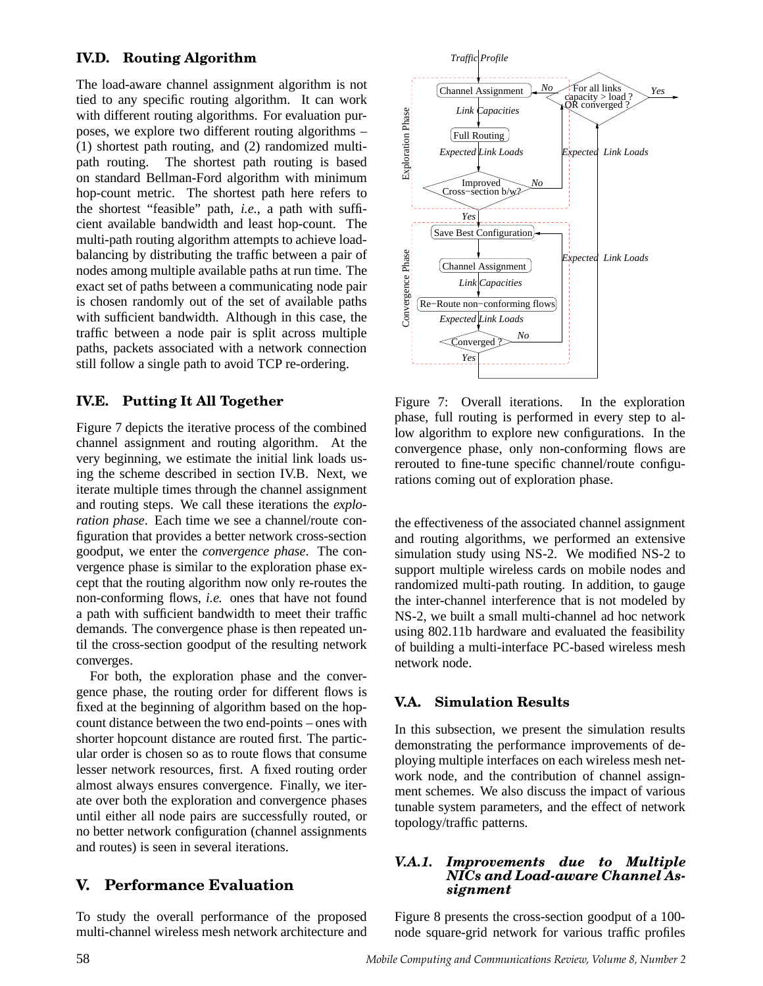## **IV.D. Routing Algorithm**

The load-aware channel assignment algorithm is not tied to any specific routing algorithm. It can work with different routing algorithms. For evaluation purposes, we explore two different routing algorithms – (1) shortest path routing, and (2) randomized multipath routing. The shortest path routing is based on standard Bellman-Ford algorithm with minimum hop-count metric. The shortest path here refers to the shortest "feasible" path, *i.e.*, a path with sufficient available bandwidth and least hop-count. The multi-path routing algorithm attempts to achieve loadbalancing by distributing the traffic between a pair of nodes among multiple available paths at run time. The exact set of paths between a communicating node pair is chosen randomly out of the set of available paths with sufficient bandwidth. Although in this case, the traffic between a node pair is split across multiple paths, packets associated with a network connection still follow a single path to avoid TCP re-ordering.

## **IV.E. Putting It All Together**

Figure 7 depicts the iterative process of the combined channel assignment and routing algorithm. At the very beginning, we estimate the initial link loads using the scheme described in section IV.B. Next, we iterate multiple times through the channel assignment and routing steps. We call these iterations the *exploration phase*. Each time we see a channel/route configuration that provides a better network cross-section goodput, we enter the *convergence phase*. The convergence phase is similar to the exploration phase except that the routing algorithm now only re-routes the non-conforming flows, *i.e.* ones that have not found a path with sufficient bandwidth to meet their traffic demands. The convergence phase is then repeated until the cross-section goodput of the resulting network converges.

For both, the exploration phase and the convergence phase, the routing order for different flows is fixed at the beginning of algorithm based on the hopcount distance between the two end-points – ones with shorter hopcount distance are routed first. The particular order is chosen so as to route flows that consume lesser network resources, first. A fixed routing order almost always ensures convergence. Finally, we iterate over both the exploration and convergence phases until either all node pairs are successfully routed, or no better network configuration (channel assignments and routes) is seen in several iterations.

# **V. Performance Evaluation**

To study the overall performance of the proposed multi-channel wireless mesh network architecture and



Figure 7: Overall iterations. In the exploration phase, full routing is performed in every step to allow algorithm to explore new configurations. In the convergence phase, only non-conforming flows are rerouted to fine-tune specific channel/route configurations coming out of exploration phase.

the effectiveness of the associated channel assignment and routing algorithms, we performed an extensive simulation study using NS-2. We modified NS-2 to support multiple wireless cards on mobile nodes and randomized multi-path routing. In addition, to gauge the inter-channel interference that is not modeled by NS-2, we built a small multi-channel ad hoc network using 802.11b hardware and evaluated the feasibility of building a multi-interface PC-based wireless mesh network node.

## **V.A. Simulation Results**

In this subsection, we present the simulation results demonstrating the performance improvements of deploying multiple interfaces on each wireless mesh network node, and the contribution of channel assignment schemes. We also discuss the impact of various tunable system parameters, and the effect of network topology/traffic patterns.

### *V.A.1. Improvements due to Multiple NICs and Load-aware Channel Assignment*

Figure 8 presents the cross-section goodput of a 100 node square-grid network for various traffic profiles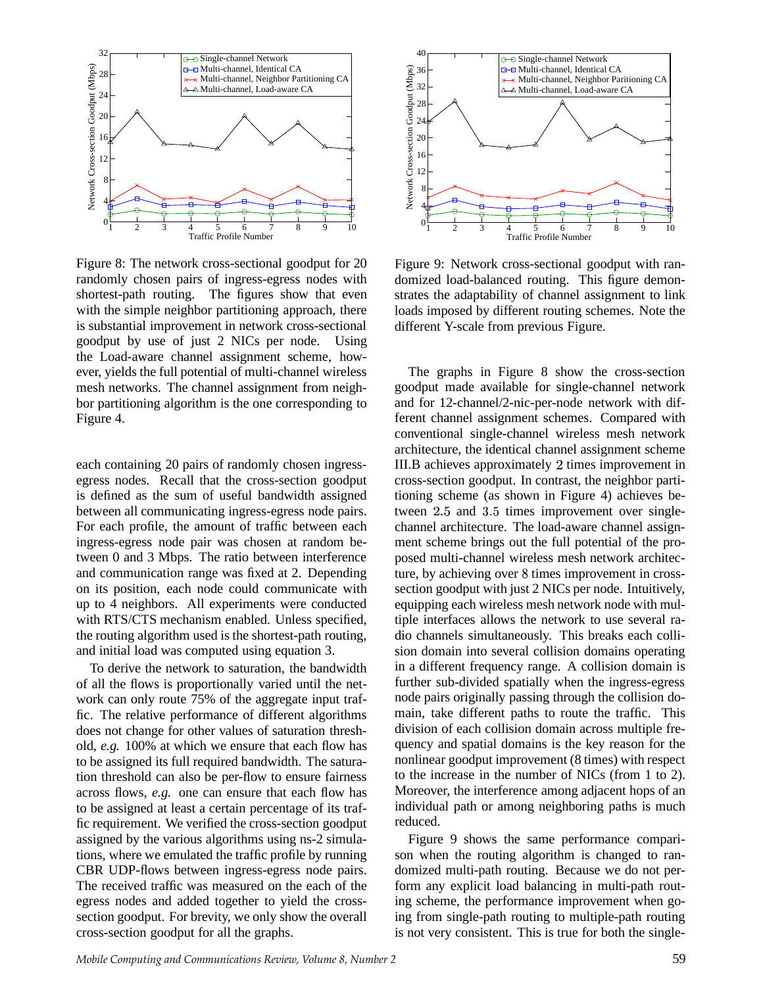

Figure 8: The network cross-sectional goodput for 20 randomly chosen pairs of ingress-egress nodes with shortest-path routing. The figures show that even with the simple neighbor partitioning approach, there is substantial improvement in network cross-sectional goodput by use of just 2 NICs per node. Using the Load-aware channel assignment scheme, however, yields the full potential of multi-channel wireless mesh networks. The channel assignment from neighbor partitioning algorithm is the one corresponding to Figure 4.

each containing 20 pairs of randomly chosen ingressegress nodes. Recall that the cross-section goodput is defined as the sum of useful bandwidth assigned between all communicating ingress-egress node pairs. For each profile, the amount of traffic between each ingress-egress node pair was chosen at random between 0 and 3 Mbps. The ratio between interference and communication range was fixed at 2. Depending on its position, each node could communicate with up to 4 neighbors. All experiments were conducted with RTS/CTS mechanism enabled. Unless specified, the routing algorithm used is the shortest-path routing, and initial load was computed using equation 3.

To derive the network to saturation, the bandwidth of all the flows is proportionally varied until the network can only route 75% of the aggregate input traffic. The relative performance of different algorithms does not change for other values of saturation threshold, *e.g.* 100% at which we ensure that each flow has to be assigned its full required bandwidth. The saturation threshold can also be per-flow to ensure fairness across flows, *e.g.* one can ensure that each flow has to be assigned at least a certain percentage of its traffic requirement. We verified the cross-section goodput assigned by the various algorithms using ns-2 simulations, where we emulated the traffic profile by running CBR UDP-flows between ingress-egress node pairs. The received traffic was measured on the each of the egress nodes and added together to yield the crosssection goodput. For brevity, we only show the overall cross-section goodput for all the graphs.



Figure 9: Network cross-sectional goodput with randomized load-balanced routing. This figure demonstrates the adaptability of channel assignment to link loads imposed by different routing schemes. Note the different Y-scale from previous Figure.

The graphs in Figure 8 show the cross-section goodput made available for single-channel network and for 12-channel/2-nic-per-node network with different channel assignment schemes. Compared with conventional single-channel wireless mesh network architecture, the identical channel assignment scheme III.B achieves approximately 2 times improvement in cross-section goodput. In contrast, the neighbor partitioning scheme (as shown in Figure 4) achieves between 2.5 and 3.5 times improvement over singlechannel architecture. The load-aware channel assignment scheme brings out the full potential of the proposed multi-channel wireless mesh network architecture, by achieving over 8 times improvement in crosssection goodput with just 2 NICs per node. Intuitively, equipping each wireless mesh network node with multiple interfaces allows the network to use several radio channels simultaneously. This breaks each collision domain into several collision domains operating in a different frequency range. A collision domain is further sub-divided spatially when the ingress-egress node pairs originally passing through the collision domain, take different paths to route the traffic. This division of each collision domain across multiple frequency and spatial domains is the key reason for the nonlinear goodput improvement (8 times) with respect to the increase in the number of NICs (from 1 to 2). Moreover, the interference among adjacent hops of an individual path or among neighboring paths is much reduced.

Figure 9 shows the same performance comparison when the routing algorithm is changed to randomized multi-path routing. Because we do not perform any explicit load balancing in multi-path routing scheme, the performance improvement when going from single-path routing to multiple-path routing is not very consistent. This is true for both the single-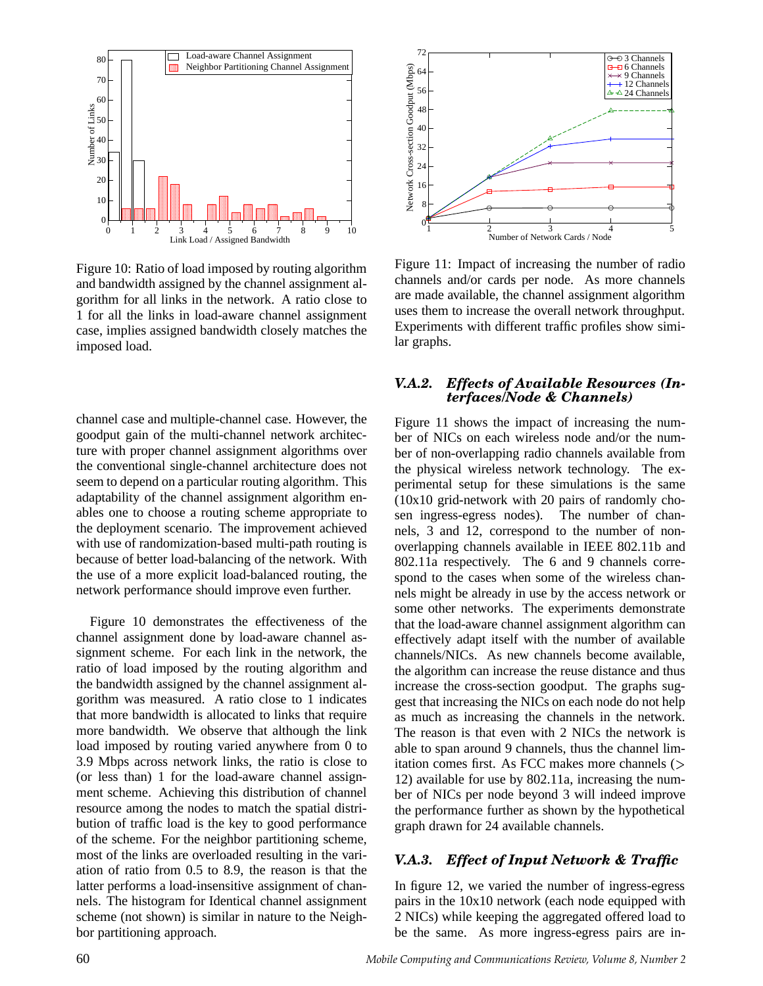

Figure 10: Ratio of load imposed by routing algorithm and bandwidth assigned by the channel assignment algorithm for all links in the network. A ratio close to 1 for all the links in load-aware channel assignment case, implies assigned bandwidth closely matches the imposed load.

channel case and multiple-channel case. However, the goodput gain of the multi-channel network architecture with proper channel assignment algorithms over the conventional single-channel architecture does not seem to depend on a particular routing algorithm. This adaptability of the channel assignment algorithm enables one to choose a routing scheme appropriate to the deployment scenario. The improvement achieved with use of randomization-based multi-path routing is because of better load-balancing of the network. With the use of a more explicit load-balanced routing, the network performance should improve even further.

Figure 10 demonstrates the effectiveness of the channel assignment done by load-aware channel assignment scheme. For each link in the network, the ratio of load imposed by the routing algorithm and the bandwidth assigned by the channel assignment algorithm was measured. A ratio close to 1 indicates that more bandwidth is allocated to links that require more bandwidth. We observe that although the link load imposed by routing varied anywhere from 0 to 3.9 Mbps across network links, the ratio is close to (or less than) 1 for the load-aware channel assignment scheme. Achieving this distribution of channel resource among the nodes to match the spatial distribution of traffic load is the key to good performance of the scheme. For the neighbor partitioning scheme, most of the links are overloaded resulting in the variation of ratio from 0.5 to 8.9, the reason is that the latter performs a load-insensitive assignment of channels. The histogram for Identical channel assignment scheme (not shown) is similar in nature to the Neighbor partitioning approach.



Figure 11: Impact of increasing the number of radio channels and/or cards per node. As more channels are made available, the channel assignment algorithm uses them to increase the overall network throughput. Experiments with different traffic profiles show similar graphs.

### *V.A.2. Effects of Available Resources (Interfaces/Node & Channels)*

Figure 11 shows the impact of increasing the number of NICs on each wireless node and/or the number of non-overlapping radio channels available from the physical wireless network technology. The experimental setup for these simulations is the same (10x10 grid-network with 20 pairs of randomly chosen ingress-egress nodes). The number of channels, 3 and 12, correspond to the number of nonoverlapping channels available in IEEE 802.11b and 802.11a respectively. The 6 and 9 channels correspond to the cases when some of the wireless channels might be already in use by the access network or some other networks. The experiments demonstrate that the load-aware channel assignment algorithm can effectively adapt itself with the number of available channels/NICs. As new channels become available, the algorithm can increase the reuse distance and thus increase the cross-section goodput. The graphs suggest that increasing the NICs on each node do not help as much as increasing the channels in the network. The reason is that even with 2 NICs the network is able to span around 9 channels, thus the channel limitation comes first. As FCC makes more channels ( 12) available for use by 802.11a, increasing the number of NICs per node beyond 3 will indeed improve the performance further as shown by the hypothetical graph drawn for 24 available channels.

## *V.A.3. Effect of Input Network & Traffic*

In figure 12, we varied the number of ingress-egress pairs in the 10x10 network (each node equipped with 2 NICs) while keeping the aggregated offered load to be the same. As more ingress-egress pairs are in-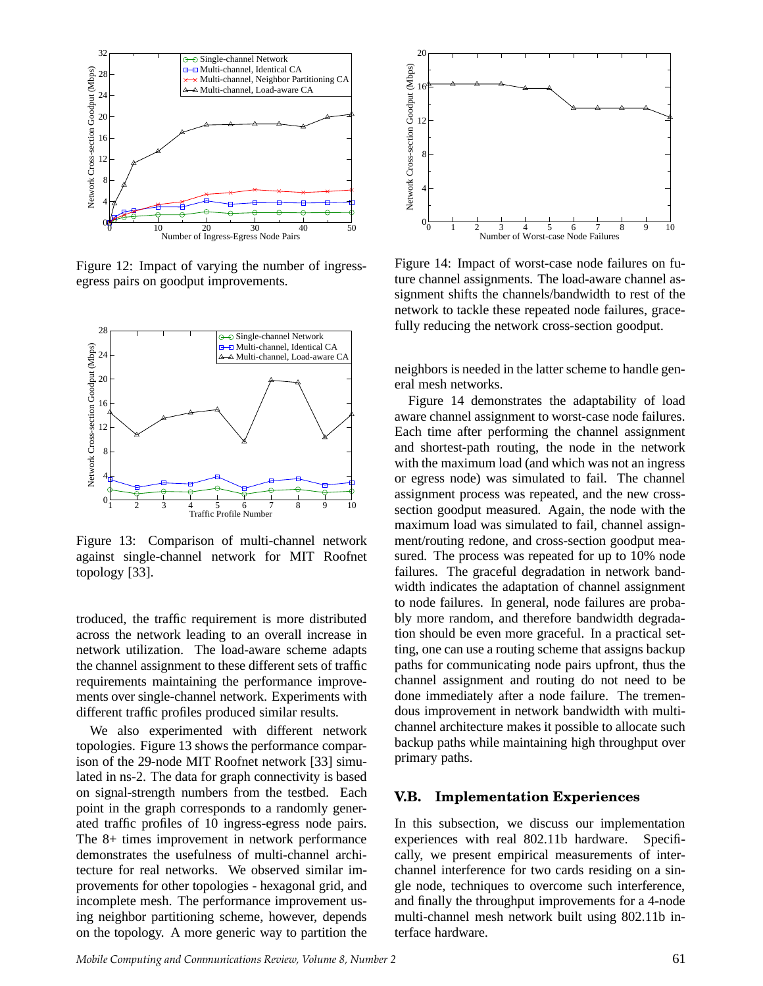

Figure 12: Impact of varying the number of ingressegress pairs on goodput improvements.



Figure 13: Comparison of multi-channel network against single-channel network for MIT Roofnet topology [33].

troduced, the traffic requirement is more distributed across the network leading to an overall increase in network utilization. The load-aware scheme adapts the channel assignment to these different sets of traffic requirements maintaining the performance improvements over single-channel network. Experiments with different traffic profiles produced similar results.

We also experimented with different network topologies. Figure 13 shows the performance comparison of the 29-node MIT Roofnet network [33] simulated in ns-2. The data for graph connectivity is based on signal-strength numbers from the testbed. Each point in the graph corresponds to a randomly generated traffic profiles of 10 ingress-egress node pairs. The 8+ times improvement in network performance demonstrates the usefulness of multi-channel architecture for real networks. We observed similar improvements for other topologies - hexagonal grid, and incomplete mesh. The performance improvement using neighbor partitioning scheme, however, depends on the topology. A more generic way to partition the



Figure 14: Impact of worst-case node failures on future channel assignments. The load-aware channel assignment shifts the channels/bandwidth to rest of the network to tackle these repeated node failures, gracefully reducing the network cross-section goodput.

neighbors is needed in the latter scheme to handle general mesh networks.

Figure 14 demonstrates the adaptability of load aware channel assignment to worst-case node failures. Each time after performing the channel assignment and shortest-path routing, the node in the network with the maximum load (and which was not an ingress or egress node) was simulated to fail. The channel assignment process was repeated, and the new crosssection goodput measured. Again, the node with the maximum load was simulated to fail, channel assignment/routing redone, and cross-section goodput measured. The process was repeated for up to 10% node failures. The graceful degradation in network bandwidth indicates the adaptation of channel assignment to node failures. In general, node failures are probably more random, and therefore bandwidth degradation should be even more graceful. In a practical setting, one can use a routing scheme that assigns backup paths for communicating node pairs upfront, thus the channel assignment and routing do not need to be done immediately after a node failure. The tremendous improvement in network bandwidth with multichannel architecture makes it possible to allocate such backup paths while maintaining high throughput over primary paths.

### **V.B. Implementation Experiences**

In this subsection, we discuss our implementation experiences with real 802.11b hardware. Specifically, we present empirical measurements of interchannel interference for two cards residing on a single node, techniques to overcome such interference, and finally the throughput improvements for a 4-node multi-channel mesh network built using 802.11b interface hardware.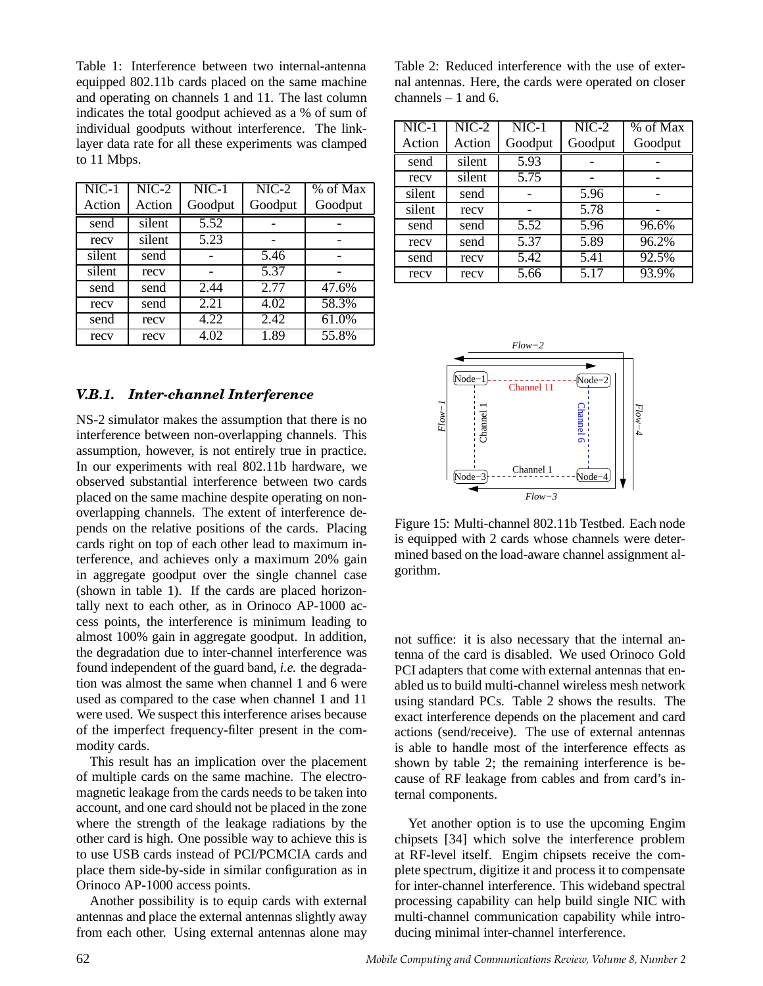Table 1: Interference between two internal-antenna equipped 802.11b cards placed on the same machine and operating on channels 1 and 11. The last column indicates the total goodput achieved as a % of sum of individual goodputs without interference. The linklayer data rate for all these experiments was clamped to 11 Mbps.

| $NIC-1$ | $NIC-2$ | $NIC-1$           | $NIC-2$ | % of Max |
|---------|---------|-------------------|---------|----------|
| Action  | Action  | Goodput           | Goodput | Goodput  |
| send    | silent  | $\overline{5.52}$ |         |          |
| recy    | silent  | $\overline{5.23}$ |         |          |
| silent  | send    |                   | 5.46    |          |
| silent  | recy    |                   | 5.37    |          |
| send    | send    | 2.44              | 2.77    | 47.6%    |
| recv    | send    | 2.21              | 4.02    | 58.3%    |
| send    | recy    | 4.22              | 2.42    | 61.0%    |
| recv    | recy    | 4.02              | 1.89    | 55.8%    |

### *V.B.1. Inter-channel Interference*

NS-2 simulator makes the assumption that there is no interference between non-overlapping channels. This assumption, however, is not entirely true in practice. In our experiments with real 802.11b hardware, we observed substantial interference between two cards placed on the same machine despite operating on nonoverlapping channels. The extent of interference depends on the relative positions of the cards. Placing cards right on top of each other lead to maximum interference, and achieves only a maximum 20% gain in aggregate goodput over the single channel case (shown in table 1). If the cards are placed horizontally next to each other, as in Orinoco AP-1000 access points, the interference is minimum leading to almost 100% gain in aggregate goodput. In addition, the degradation due to inter-channel interference was found independent of the guard band, *i.e.* the degradation was almost the same when channel 1 and 6 were used as compared to the case when channel 1 and 11 were used. We suspect this interference arises because of the imperfect frequency-filter present in the commodity cards.

This result has an implication over the placement of multiple cards on the same machine. The electromagnetic leakage from the cards needs to be taken into account, and one card should not be placed in the zone where the strength of the leakage radiations by the other card is high. One possible way to achieve this is to use USB cards instead of PCI/PCMCIA cards and place them side-by-side in similar configuration as in Orinoco AP-1000 access points.

Another possibility is to equip cards with external antennas and place the external antennas slightly away from each other. Using external antennas alone may

Table 2: Reduced interference with the use of external antennas. Here, the cards were operated on closer channels – 1 and 6.

| $NIC-1$ | $NIC-2$ | $NIC-1$           | $NIC-2$ | % of Max            |
|---------|---------|-------------------|---------|---------------------|
| Action  | Action  | Goodput           | Goodput | Goodput             |
| send    | silent  | $\overline{5.93}$ |         |                     |
| recy    | silent  | 5.75              |         |                     |
| silent  | send    |                   | 5.96    |                     |
| silent  | recy    |                   | 5.78    |                     |
| send    | send    | 5.52              | 5.96    | 96.6%               |
| recy    | send    | 5.37              | 5.89    | $96.\overline{2\%}$ |
| send    | recy    | 5.42              | 5.41    | 92.5%               |
| recy    | recy    | 5.66              | 5.17    | $93.9\%$            |



Figure 15: Multi-channel 802.11b Testbed. Each node is equipped with 2 cards whose channels were determined based on the load-aware channel assignment algorithm.

not suffice: it is also necessary that the internal antenna of the card is disabled. We used Orinoco Gold PCI adapters that come with external antennas that enabled us to build multi-channel wireless mesh network using standard PCs. Table 2 shows the results. The exact interference depends on the placement and card actions (send/receive). The use of external antennas is able to handle most of the interference effects as shown by table 2; the remaining interference is because of RF leakage from cables and from card's internal components.

Yet another option is to use the upcoming Engim chipsets [34] which solve the interference problem at RF-level itself. Engim chipsets receive the complete spectrum, digitize it and process it to compensate for inter-channel interference. This wideband spectral processing capability can help build single NIC with multi-channel communication capability while introducing minimal inter-channel interference.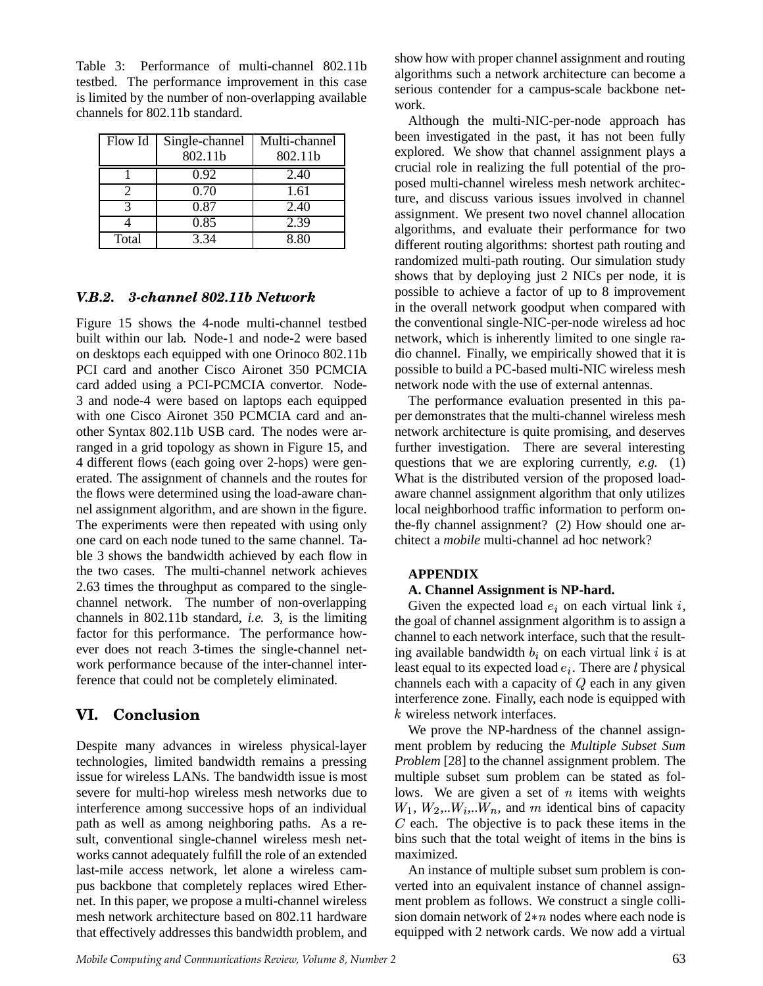Table 3: Performance of multi-channel 802.11b testbed. The performance improvement in this case is limited by the number of non-overlapping available channels for 802.11b standard.

| Flow Id | Single-channel | Multi-channel |
|---------|----------------|---------------|
|         | 802.11b        | 802.11b       |
|         | 0.92           | 2.40          |
|         | 0.70           | 1.61          |
|         | 0.87           | 2.40          |
|         | 0.85           | 2.39          |
| Total   | 3 3 4          | 8.80          |

#### *V.B.2. 3-channel 802.11b Network*

Figure 15 shows the 4-node multi-channel testbed built within our lab. Node-1 and node-2 were based on desktops each equipped with one Orinoco 802.11b PCI card and another Cisco Aironet 350 PCMCIA card added using a PCI-PCMCIA convertor. Node-3 and node-4 were based on laptops each equipped with one Cisco Aironet 350 PCMCIA card and another Syntax 802.11b USB card. The nodes were arranged in a grid topology as shown in Figure 15, and 4 different flows (each going over 2-hops) were generated. The assignment of channels and the routes for the flows were determined using the load-aware channel assignment algorithm, and are shown in the figure. The experiments were then repeated with using only one card on each node tuned to the same channel. Table 3 shows the bandwidth achieved by each flow in the two cases. The multi-channel network achieves 2.63 times the throughput as compared to the singlechannel network. The number of non-overlapping channels in 802.11b standard, *i.e.* 3, is the limiting factor for this performance. The performance however does not reach 3-times the single-channel network performance because of the inter-channel interference that could not be completely eliminated.

## **VI. Conclusion**

Despite many advances in wireless physical-layer technologies, limited bandwidth remains a pressing issue for wireless LANs. The bandwidth issue is most severe for multi-hop wireless mesh networks due to interference among successive hops of an individual path as well as among neighboring paths. As a result, conventional single-channel wireless mesh networks cannot adequately fulfill the role of an extended last-mile access network, let alone a wireless campus backbone that completely replaces wired Ethernet. In this paper, we propose a multi-channel wireless mesh network architecture based on 802.11 hardware that effectively addresses this bandwidth problem, and

show how with proper channel assignment and routing algorithms such a network architecture can become a serious contender for a campus-scale backbone network.

Although the multi-NIC-per-node approach has been investigated in the past, it has not been fully explored. We show that channel assignment plays a crucial role in realizing the full potential of the proposed multi-channel wireless mesh network architecture, and discuss various issues involved in channel assignment. We present two novel channel allocation algorithms, and evaluate their performance for two different routing algorithms: shortest path routing and randomized multi-path routing. Our simulation study shows that by deploying just 2 NICs per node, it is possible to achieve a factor of up to 8 improvement in the overall network goodput when compared with the conventional single-NIC-per-node wireless ad hoc network, which is inherently limited to one single radio channel. Finally, we empirically showed that it is possible to build a PC-based multi-NIC wireless mesh network node with the use of external antennas.

The performance evaluation presented in this paper demonstrates that the multi-channel wireless mesh network architecture is quite promising, and deserves further investigation. There are several interesting questions that we are exploring currently, *e.g.* (1) What is the distributed version of the proposed loadaware channel assignment algorithm that only utilizes local neighborhood traffic information to perform onthe-fly channel assignment? (2) How should one architect a *mobile* multi-channel ad hoc network?

### **APPENDIX**

#### **A. Channel Assignment is NP-hard.**

Given the expected load  $e_i$  on each virtual link *i*, the goal of channel assignment algorithm is to assign a channel to each network interface, such that the resulting available bandwidth  $b_i$  on each virtual link *i* is at least equal to its expected load  $e_i$ . There are *l* physical channels each with a capacity of  $Q$  each in any given interference zone. Finally, each node is equipped with wireless network interfaces.

We prove the NP-hardness of the channel assignment problem by reducing the *Multiple Subset Sum Problem* [28] to the channel assignment problem. The multiple subset sum problem can be stated as follows. We are given a set of  $n$  items with weights  $W_1$ ,  $W_2$ ,.. $W_i$ ,... $W_n$ , and m identical bins of capacity bins such that the total weight of items in the bins is  $C$  each. The objective is to pack these items in the maximized.

An instance of multiple subset sum problem is converted into an equivalent instance of channel assignment problem as follows. We construct a single collision domain network of  $2*n$  nodes where each node is equipped with 2 network cards. We now add a virtual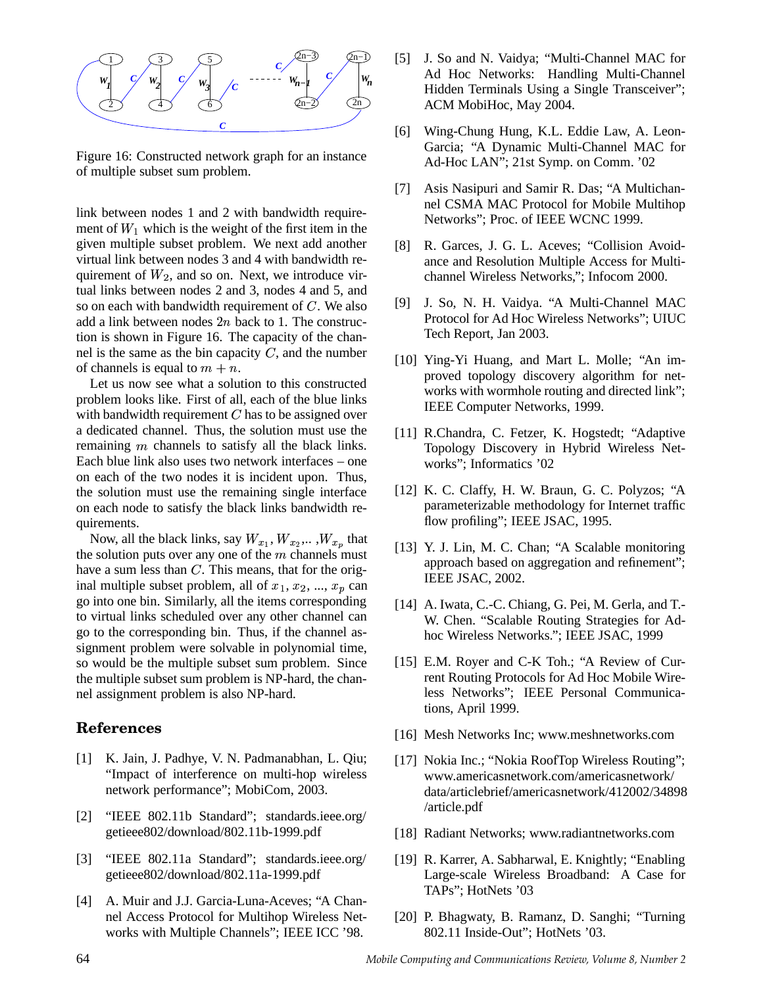

Figure 16: Constructed network graph for an instance of multiple subset sum problem.

link between nodes 1 and 2 with bandwidth requirement of  $W_1$  which is the weight of the first item in the given multiple subset problem. We next add another virtual link between nodes 3 and 4 with bandwidth requirement of  $W_2$ , and so on. Next, we introduce virtual links between nodes 2 and 3, nodes 4 and 5, and so on each with bandwidth requirement of  $C$ . We also add a link between nodes  $2n$  back to 1. The construction is shown in Figure 16. The capacity of the channel is the same as the bin capacity  $C$ , and the number of channels is equal to  $m + n$ .

Let us now see what a solution to this constructed problem looks like. First of all, each of the blue links with bandwidth requirement  $C$  has to be assigned over a dedicated channel. Thus, the solution must use the remaining  $m$  channels to satisfy all the black links. Each blue link also uses two network interfaces – one on each of the two nodes it is incident upon. Thus, the solution must use the remaining single interface on each node to satisfy the black links bandwidth requirements.

Now, all the black links, say  $W_{x_1}, W_{x_2}, \ldots, W_{x_n}$  that the solution puts over any one of the  $m$  channels must have a sum less than  $C$ . This means, that for the original multiple subset problem, all of  $x_1, x_2, ..., x_p$  can go into one bin. Similarly, all the items corresponding to virtual links scheduled over any other channel can go to the corresponding bin. Thus, if the channel assignment problem were solvable in polynomial time, so would be the multiple subset sum problem. Since the multiple subset sum problem is NP-hard, the channel assignment problem is also NP-hard.

## **References**

- [1] K. Jain, J. Padhye, V. N. Padmanabhan, L. Qiu; "Impact of interference on multi-hop wireless network performance"; MobiCom, 2003.
- [2] "IEEE 802.11b Standard"; standards.ieee.org/ getieee802/download/802.11b-1999.pdf
- [3] "IEEE 802.11a Standard"; standards.ieee.org/ getieee802/download/802.11a-1999.pdf
- [4] A. Muir and J.J. Garcia-Luna-Aceves; "A Channel Access Protocol for Multihop Wireless Networks with Multiple Channels"; IEEE ICC '98.
- [5] J. So and N. Vaidya; "Multi-Channel MAC for Ad Hoc Networks: Handling Multi-Channel Hidden Terminals Using a Single Transceiver"; ACM MobiHoc, May 2004.
- [6] Wing-Chung Hung, K.L. Eddie Law, A. Leon-Garcia; "A Dynamic Multi-Channel MAC for Ad-Hoc LAN"; 21st Symp. on Comm. '02
- [7] Asis Nasipuri and Samir R. Das; "A Multichannel CSMA MAC Protocol for Mobile Multihop Networks"; Proc. of IEEE WCNC 1999.
- [8] R. Garces, J. G. L. Aceves; "Collision Avoidance and Resolution Multiple Access for Multichannel Wireless Networks,"; Infocom 2000.
- [9] J. So, N. H. Vaidya. "A Multi-Channel MAC Protocol for Ad Hoc Wireless Networks"; UIUC Tech Report, Jan 2003.
- [10] Ying-Yi Huang, and Mart L. Molle; "An improved topology discovery algorithm for networks with wormhole routing and directed link"; IEEE Computer Networks, 1999.
- [11] R.Chandra, C. Fetzer, K. Hogstedt; "Adaptive Topology Discovery in Hybrid Wireless Networks"; Informatics '02
- [12] K. C. Claffy, H. W. Braun, G. C. Polyzos; "A parameterizable methodology for Internet traffic flow profiling"; IEEE JSAC, 1995.
- [13] Y. J. Lin, M. C. Chan; "A Scalable monitoring approach based on aggregation and refinement"; IEEE JSAC, 2002.
- [14] A. Iwata, C.-C. Chiang, G. Pei, M. Gerla, and T.-W. Chen. "Scalable Routing Strategies for Adhoc Wireless Networks."; IEEE JSAC, 1999
- [15] E.M. Royer and C-K Toh.; "A Review of Current Routing Protocols for Ad Hoc Mobile Wireless Networks"; IEEE Personal Communications, April 1999.
- [16] Mesh Networks Inc; www.meshnetworks.com
- [17] Nokia Inc.; "Nokia RoofTop Wireless Routing"; www.americasnetwork.com/americasnetwork/ data/articlebrief/americasnetwork/412002/34898 /article.pdf
- [18] Radiant Networks; www.radiantnetworks.com
- [19] R. Karrer, A. Sabharwal, E. Knightly; "Enabling Large-scale Wireless Broadband: A Case for TAPs"; HotNets '03
- [20] P. Bhagwaty, B. Ramanz, D. Sanghi; "Turning 802.11 Inside-Out"; HotNets '03.